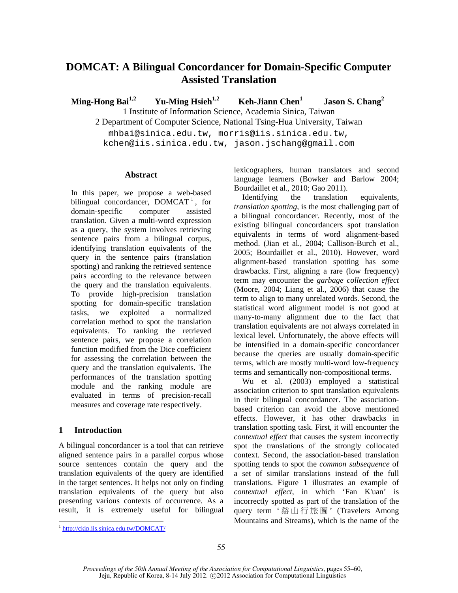# **DOMCAT: A Bilingual Concordancer for Domain-Specific Computer Assisted Translation**

**Ming-Hong Bai**<sup>1,2</sup> Yu-Ming Hsieh<sup>1,2</sup> Keh-Jiann Chen<sup>1</sup>  **Jason S. Chang<sup>2</sup>** 1 Institute of Information Science, Academia Sinica, Taiwan

2 Department of Computer Science, National Tsing-Hua University, Taiwan

mhbai@sinica.edu.tw, morris@iis.sinica.edu.tw, kchen@iis.sinica.edu.tw, jason.jschang@gmail.com

## **Abstract**

In this paper, we propose a web-based bilingual concordancer,  $DOMCAT<sup>1</sup>$ , for domain-specific computer assisted translation. Given a multi-word expression as a query, the system involves retrieving sentence pairs from a bilingual corpus, identifying translation equivalents of the query in the sentence pairs (translation spotting) and ranking the retrieved sentence pairs according to the relevance between the query and the translation equivalents. To provide high-precision translation spotting for domain-specific translation tasks, we exploited a normalized correlation method to spot the translation equivalents. To ranking the retrieved sentence pairs, we propose a correlation function modified from the Dice coefficient for assessing the correlation between the query and the translation equivalents. The performances of the translation spotting module and the ranking module are evaluated in terms of precision-recall measures and coverage rate respectively.

## **1 Introduction**

A bilingual concordancer is a tool that can retrieve aligned sentence pairs in a parallel corpus whose source sentences contain the query and the translation equivalents of the query are identified in the target sentences. It helps not only on finding translation equivalents of the query but also presenting various contexts of occurrence. As a result, it is extremely useful for bilingual

 $\overline{a}$ <sup>1</sup> http://ckip.iis.sinica.edu.tw/DOMCAT/ lexicographers, human translators and second language learners (Bowker and Barlow 2004; Bourdaillet et al., 2010; Gao 2011).

Identifying the translation equivalents, *translation spotting*, is the most challenging part of a bilingual concordancer. Recently, most of the existing bilingual concordancers spot translation equivalents in terms of word alignment-based method. (Jian et al., 2004; Callison-Burch et al., 2005; Bourdaillet et al., 2010). However, word alignment-based translation spotting has some drawbacks. First, aligning a rare (low frequency) term may encounter the *garbage collection effect* (Moore, 2004; Liang et al., 2006) that cause the term to align to many unrelated words. Second, the statistical word alignment model is not good at many-to-many alignment due to the fact that translation equivalents are not always correlated in lexical level. Unfortunately, the above effects will be intensified in a domain-specific concordancer because the queries are usually domain-specific terms, which are mostly multi-word low-frequency terms and semantically non-compositional terms.

Wu et al. (2003) employed a statistical association criterion to spot translation equivalents in their bilingual concordancer. The associationbased criterion can avoid the above mentioned effects. However, it has other drawbacks in translation spotting task. First, it will encounter the *contextual effect* that causes the system incorrectly spot the translations of the strongly collocated context. Second, the association-based translation spotting tends to spot the *common subsequence* of a set of similar translations instead of the full translations. Figure 1 illustrates an example of *contextual effect*, in which 'Fan K'uan' is incorrectly spotted as part of the translation of the query term '谿山行旅圖' (Travelers Among Mountains and Streams), which is the name of the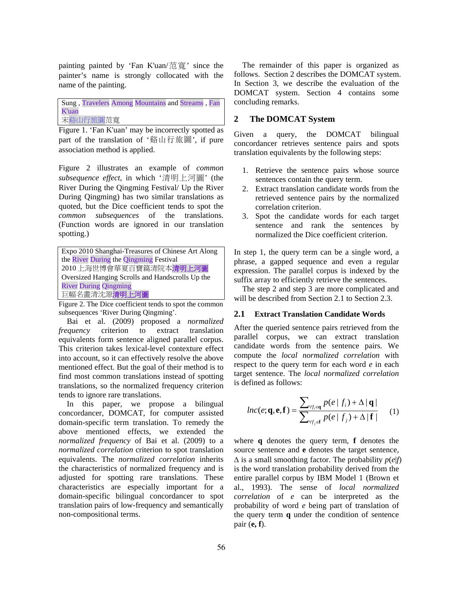painting painted by 'Fan K'uan/范寬' since the painter's name is strongly collocated with the name of the painting.

Sung , Travelers Among Mountains and Streams , Fan K'uan 宋谿山行旅圖范寬

Figure 1. 'Fan K'uan' may be incorrectly spotted as part of the translation of '谿山行旅圖', if pure association method is applied.

Figure 2 illustrates an example of *common subsequence effect*, in which '清明上河圖' (the River During the Qingming Festival/ Up the River During Qingming) has two similar translations as quoted, but the Dice coefficient tends to spot the *common subsequences* of the translations. (Function words are ignored in our translation spotting.)

| Expo 2010 Shanghai-Treasures of Chinese Art Along |
|---------------------------------------------------|
| the River During the Qingming Festival            |
| 2010上海世博會華夏百寶篇清院本清明上河圖                            |
| Oversized Hanging Scrolls and Handscrolls Up the  |
| <b>River During Qingming</b>                      |
| 巨幅名畫清沈源清明上河圖                                      |

Figure 2. The Dice coefficient tends to spot the common subsequences 'River During Qingming'.

Bai et al. (2009) proposed a *normalized frequency* criterion to extract translation equivalents form sentence aligned parallel corpus. This criterion takes lexical-level contexture effect into account, so it can effectively resolve the above mentioned effect. But the goal of their method is to find most common translations instead of spotting translations, so the normalized frequency criterion tends to ignore rare translations.

In this paper, we propose a bilingual concordancer, DOMCAT, for computer assisted domain-specific term translation. To remedy the above mentioned effects, we extended the *normalized frequency* of Bai et al. (2009) to a *normalized correlation* criterion to spot translation equivalents. The *normalized correlation* inherits the characteristics of normalized frequency and is adjusted for spotting rare translations. These characteristics are especially important for a domain-specific bilingual concordancer to spot translation pairs of low-frequency and semantically non-compositional terms.

The remainder of this paper is organized as follows. Section 2 describes the DOMCAT system. In Section 3, we describe the evaluation of the DOMCAT system. Section 4 contains some concluding remarks.

## **2 The DOMCAT System**

Given a query, the DOMCAT bilingual concordancer retrieves sentence pairs and spots translation equivalents by the following steps:

- 1. Retrieve the sentence pairs whose source sentences contain the query term.
- 2. Extract translation candidate words from the retrieved sentence pairs by the normalized correlation criterion.
- 3. Spot the candidate words for each target sentence and rank the sentences by normalized the Dice coefficient criterion.

In step 1, the query term can be a single word, a phrase, a gapped sequence and even a regular expression. The parallel corpus is indexed by the suffix array to efficiently retrieve the sentences.

The step 2 and step 3 are more complicated and will be described from Section 2.1 to Section 2.3.

## **2.1 Extract Translation Candidate Words**

After the queried sentence pairs retrieved from the parallel corpus, we can extract translation candidate words from the sentence pairs. We compute the *local normalized correlation* with respect to the query term for each word *e* in each target sentence. The *local normalized correlation* is defined as follows:

$$
lnc(e; \mathbf{q}, \mathbf{e}, \mathbf{f}) = \frac{\sum_{\forall f_i \in \mathbf{q}} p(e \mid f_i) + \Delta |\mathbf{q}|}{\sum_{\forall f_j \in \mathbf{f}} p(e \mid f_j) + \Delta |\mathbf{f}|}
$$
 (1)

where **q** denotes the query term, **f** denotes the source sentence and **e** denotes the target sentence,  $\Delta$  is a small smoothing factor. The probability  $p(e|f)$ is the word translation probability derived from the entire parallel corpus by IBM Model 1 (Brown et al., 1993). The sense of *local normalized correlation* of *e* can be interpreted as the probability of word *e* being part of translation of the query term **q** under the condition of sentence pair (**e, f**).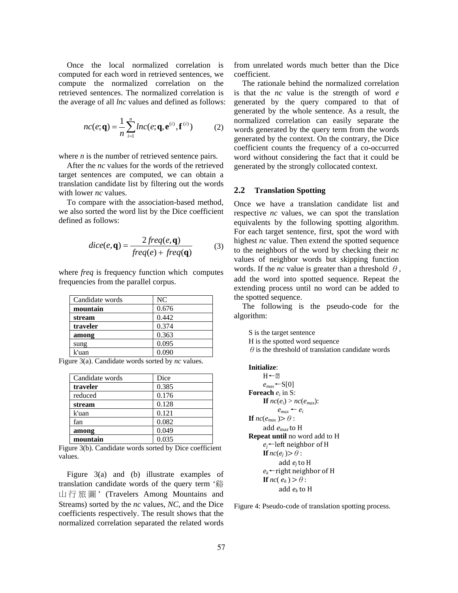Once the local normalized correlation is computed for each word in retrieved sentences, we compute the normalized correlation on the retrieved sentences. The normalized correlation is the average of all *lnc* values and defined as follows:

$$
nc(e; \mathbf{q}) = \frac{1}{n} \sum_{i=1}^{n} lnc(e; \mathbf{q}, \mathbf{e}^{(i)}, \mathbf{f}^{(i)})
$$
(2)

where *n* is the number of retrieved sentence pairs.

After the *nc* values for the words of the retrieved target sentences are computed, we can obtain a translation candidate list by filtering out the words with lower *nc* values.

To compare with the association-based method, we also sorted the word list by the Dice coefficient defined as follows:

$$
dice(e, \mathbf{q}) = \frac{2freq(e, \mathbf{q})}{freq(e) + freq(\mathbf{q})}
$$
(3)

where *freq* is frequency function which computes frequencies from the parallel corpus.

| Candidate words | NC    |
|-----------------|-------|
| mountain        | 0.676 |
| stream          | 0.442 |
| traveler        | 0.374 |
| among           | 0.363 |
| sung            | 0.095 |
| k'uan           | 0.090 |

Figure 3(a). Candidate words sorted by *nc* values.

| Candidate words | Dice  |
|-----------------|-------|
| traveler        | 0.385 |
| reduced         | 0.176 |
| stream          | 0.128 |
| k'uan           | 0.121 |
| fan             | 0.082 |
| among           | 0.049 |
| mountain        | 0.035 |

Figure 3(b). Candidate words sorted by Dice coefficient values.

Figure 3(a) and (b) illustrate examples of translation candidate words of the query term '谿 山行旅圖 ' (Travelers Among Mountains and Streams) sorted by the *nc* values, *NC*, and the Dice coefficients respectively. The result shows that the normalized correlation separated the related words from unrelated words much better than the Dice coefficient.

The rationale behind the normalized correlation is that the *nc* value is the strength of word *e* generated by the query compared to that of generated by the whole sentence. As a result, the normalized correlation can easily separate the words generated by the query term from the words generated by the context. On the contrary, the Dice coefficient counts the frequency of a co-occurred word without considering the fact that it could be generated by the strongly collocated context.

## **2.2 Translation Spotting**

Once we have a translation candidate list and respective *nc* values, we can spot the translation equivalents by the following spotting algorithm. For each target sentence, first, spot the word with highest *nc* value. Then extend the spotted sequence to the neighbors of the word by checking their *nc* values of neighbor words but skipping function words. If the *nc* value is greater than a threshold  $\theta$ , add the word into spotted sequence. Repeat the extending process until no word can be added to the spotted sequence.

The following is the pseudo-code for the algorithm:

S is the target sentence

H is the spotted word sequence

 $\theta$  is the threshold of translation candidate words

#### **Initialize**:

 $H \leftarrow 2$ *emax*←S[0] **Foreach** *ei* in S: **If**  $nc(e_i) > nc(e_{max})$ :  $e_{max} \leftarrow e_i$ **If**  $nc(e_{max}) > \theta$ : add $e_{max}$  to H **Repeat until** no word add to H *ej*←left neighbor of H **If**  $nc(e_j) > \theta$ : add *ej* to H  $e_k$ ←right neighbor of H **If**  $nc(e_k) > \theta$ : add *ek* to H

Figure 4: Pseudo-code of translation spotting process.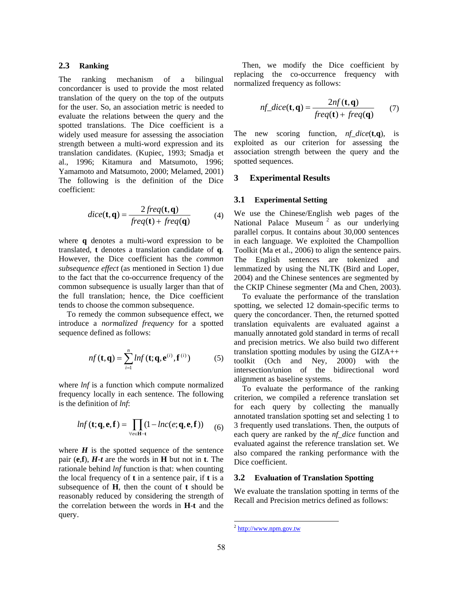## **2.3 Ranking**

The ranking mechanism of a bilingual concordancer is used to provide the most related translation of the query on the top of the outputs for the user. So, an association metric is needed to evaluate the relations between the query and the spotted translations. The Dice coefficient is a widely used measure for assessing the association strength between a multi-word expression and its translation candidates. (Kupiec, 1993; Smadja et al., 1996; Kitamura and Matsumoto, 1996; Yamamoto and Matsumoto, 2000; Melamed, 2001) The following is the definition of the Dice coefficient:

$$
dice(\mathbf{t}, \mathbf{q}) = \frac{2freq(\mathbf{t}, \mathbf{q})}{freq(\mathbf{t}) + freq(\mathbf{q})}
$$
(4)

where **q** denotes a multi-word expression to be translated, **t** denotes a translation candidate of **q**. However, the Dice coefficient has the *common subsequence effect* (as mentioned in Section 1) due to the fact that the co-occurrence frequency of the common subsequence is usually larger than that of the full translation; hence, the Dice coefficient tends to choose the common subsequence.

To remedy the common subsequence effect, we introduce a *normalized frequency* for a spotted sequence defined as follows:

$$
nf(\mathbf{t}, \mathbf{q}) = \sum_{i=1}^{n} lnf(\mathbf{t}; \mathbf{q}, \mathbf{e}^{(i)}, \mathbf{f}^{(i)})
$$
(5)

where *lnf* is a function which compute normalized frequency locally in each sentence. The following is the definition of *lnf*:

$$
ln f(\mathbf{t}; \mathbf{q}, \mathbf{e}, \mathbf{f}) = \prod_{\forall e \in \mathbf{H} - \mathbf{t}} (1 - ln c(e; \mathbf{q}, \mathbf{e}, \mathbf{f})) \tag{6}
$$

where  $H$  is the spotted sequence of the sentence pair (**e**,**f**), *H-t* are the words in **H** but not in **t**. The rationale behind *lnf* function is that: when counting the local frequency of **t** in a sentence pair, if **t** is a subsequence of **H**, then the count of **t** should be reasonably reduced by considering the strength of the correlation between the words in **H**-**t** and the query.

Then, we modify the Dice coefficient by replacing the co-occurrence frequency with normalized frequency as follows:

$$
nf\_dice(\mathbf{t}, \mathbf{q}) = \frac{2nf(\mathbf{t}, \mathbf{q})}{freq(\mathbf{t}) + freq(\mathbf{q})}
$$
(7)

The new scoring function, *nf\_dice*(**t**,**q**), is exploited as our criterion for assessing the association strength between the query and the spotted sequences.

#### **3 Experimental Results**

#### **3.1 Experimental Setting**

We use the Chinese/English web pages of the National Palace Museum<sup>2</sup> as our underlying parallel corpus. It contains about 30,000 sentences in each language. We exploited the Champollion Toolkit (Ma et al., 2006) to align the sentence pairs. The English sentences are tokenized and lemmatized by using the NLTK (Bird and Loper, 2004) and the Chinese sentences are segmented by the CKIP Chinese segmenter (Ma and Chen, 2003).

To evaluate the performance of the translation spotting, we selected 12 domain-specific terms to query the concordancer. Then, the returned spotted translation equivalents are evaluated against a manually annotated gold standard in terms of recall and precision metrics. We also build two different translation spotting modules by using the GIZA++ toolkit (Och and Ney, 2000) with the intersection/union of the bidirectional word alignment as baseline systems.

To evaluate the performance of the ranking criterion, we compiled a reference translation set for each query by collecting the manually annotated translation spotting set and selecting 1 to 3 frequently used translations. Then, the outputs of each query are ranked by the *nf\_dice* function and evaluated against the reference translation set. We also compared the ranking performance with the Dice coefficient.

#### **3.2 Evaluation of Translation Spotting**

We evaluate the translation spotting in terms of the Recall and Precision metrics defined as follows:

 $\overline{a}$ 

 $2$  http://www.npm.gov.tw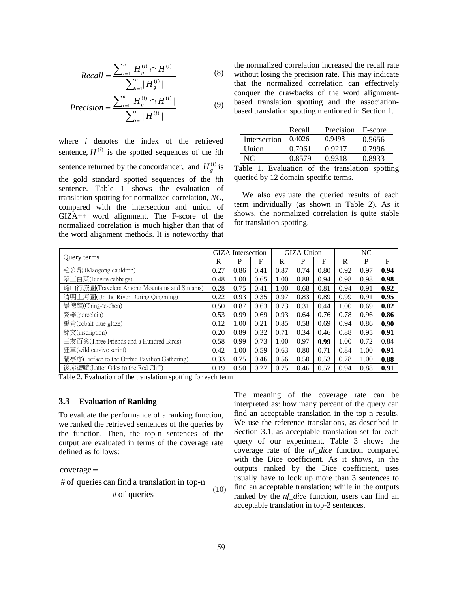$$
Recall = \frac{\sum_{i=1}^{n} |H_g^{(i)} \cap H^{(i)}|}{\sum_{i=1}^{n} |H_g^{(i)}|}
$$
(8)

$$
Precision = \frac{\sum_{i=1}^{n} |H_g^{(i)} \cap H^{(i)}|}{\sum_{i=1}^{n} |H^{(i)}|}
$$
(9)

where *i* denotes the index of the retrieved sentence,  $H^{(i)}$  is the spotted sequences of the *i*th sentence returned by the concordancer, and  $H_g^{(i)}$  is the gold standard spotted sequences of the *i*th sentence. Table 1 shows the evaluation of translation spotting for normalized correlation, *NC*, compared with the intersection and union of GIZA++ word alignment. The F-score of the normalized correlation is much higher than that of the word alignment methods. It is noteworthy that

the normalized correlation increased the recall rate without losing the precision rate. This may indicate that the normalized correlation can effectively conquer the drawbacks of the word alignmentbased translation spotting and the associationbased translation spotting mentioned in Section 1.

|              | Recall | Precision | F-score |
|--------------|--------|-----------|---------|
| Intersection | 0.4026 | 0.9498    | 0.5656  |
| Union        | 0.7061 | 0.9217    | 0.7996  |
| NC           | 0.8579 | 0.9318    | 0.8933  |

Table 1. Evaluation of the translation spotting queried by 12 domain-specific terms.

We also evaluate the queried results of each term individually (as shown in Table 2). As it shows, the normalized correlation is quite stable for translation spotting.

|                                               | GIZA Intersection |      | <b>GIZA Union</b> |      |      | NC.  |      |      |            |
|-----------------------------------------------|-------------------|------|-------------------|------|------|------|------|------|------------|
| Ouery terms                                   | R                 | P    | F                 | R    | P    | F    | R    | P    | $_{\rm F}$ |
| 毛公鼎 (Maogong cauldron)                        | 0.27              | 0.86 | 0.41              | 0.87 | 0.74 | 0.80 | 0.92 | 0.97 | 0.94       |
| 翠玉白菜(Jadeite cabbage)                         | 0.48              | 1.00 | 0.65              | 1.00 | 0.88 | 0.94 | 0.98 | 0.98 | 0.98       |
| 谿山行旅圖(Travelers Among Mountains and Streams)  | 0.28              | 0.75 | 0.41              | 1.00 | 0.68 | 0.81 | 0.94 | 0.91 | 0.92       |
| 清明上河圖(Up the River During Qingming)           | 0.22              | 0.93 | 0.35              | 0.97 | 0.83 | 0.89 | 0.99 | 0.91 | 0.95       |
| 景德鎮(Ching-te-chen)                            | 0.50              | 0.87 | 0.63              | 0.73 | 0.31 | 0.44 | 1.00 | 0.69 | 0.82       |
| 瓷器(porcelain)                                 | 0.53              | 0.99 | 0.69              | 0.93 | 0.64 | 0.76 | 0.78 | 0.96 | 0.86       |
| 霽青(cobalt blue glaze)                         | 0.12              | 1.00 | 0.21              | 0.85 | 0.58 | 0.69 | 0.94 | 0.86 | 0.90       |
| 銘文(inscription)                               | 0.20              | 0.89 | 0.32              | 0.71 | 0.34 | 0.46 | 0.88 | 0.95 | 0.91       |
| 三友百禽(Three Friends and a Hundred Birds)       | 0.58              | 0.99 | 0.73              | 1.00 | 0.97 | 0.99 | 1.00 | 0.72 | 0.84       |
| 狂草(wild cursive script)                       | 0.42              | 1.00 | 0.59              | 0.63 | 0.80 | 0.71 | 0.84 | 1.00 | 0.91       |
| 蘭亭序(Preface to the Orchid Pavilion Gathering) | 0.33              | 0.75 | 0.46              | 0.56 | 0.50 | 0.53 | 0.78 | 1.00 | 0.88       |
| 後赤壁賦(Latter Odes to the Red Cliff)            | 0.19              | 0.50 | 0.27              | 0.75 | 0.46 | 0.57 | 0.94 | 0.88 | 0.91       |

Table 2. Evaluation of the translation spotting for each term

#### **3.3 Evaluation of Ranking**

To evaluate the performance of a ranking function, we ranked the retrieved sentences of the queries by the function. Then, the top-n sentences of the output are evaluated in terms of the coverage rate defined as follows:

 $coverage =$ 

$$
\frac{\text{\# of queries can find a translation in top-n}}{\text{\# of queries}} \quad (10)
$$

The meaning of the coverage rate can be interpreted as: how many percent of the query can find an acceptable translation in the top-n results. We use the reference translations, as described in Section 3.1, as acceptable translation set for each query of our experiment. Table 3 shows the coverage rate of the *nf\_dice* function compared with the Dice coefficient. As it shows, in the outputs ranked by the Dice coefficient, uses usually have to look up more than 3 sentences to find an acceptable translation; while in the outputs ranked by the *nf\_dice* function, users can find an acceptable translation in top-2 sentences.